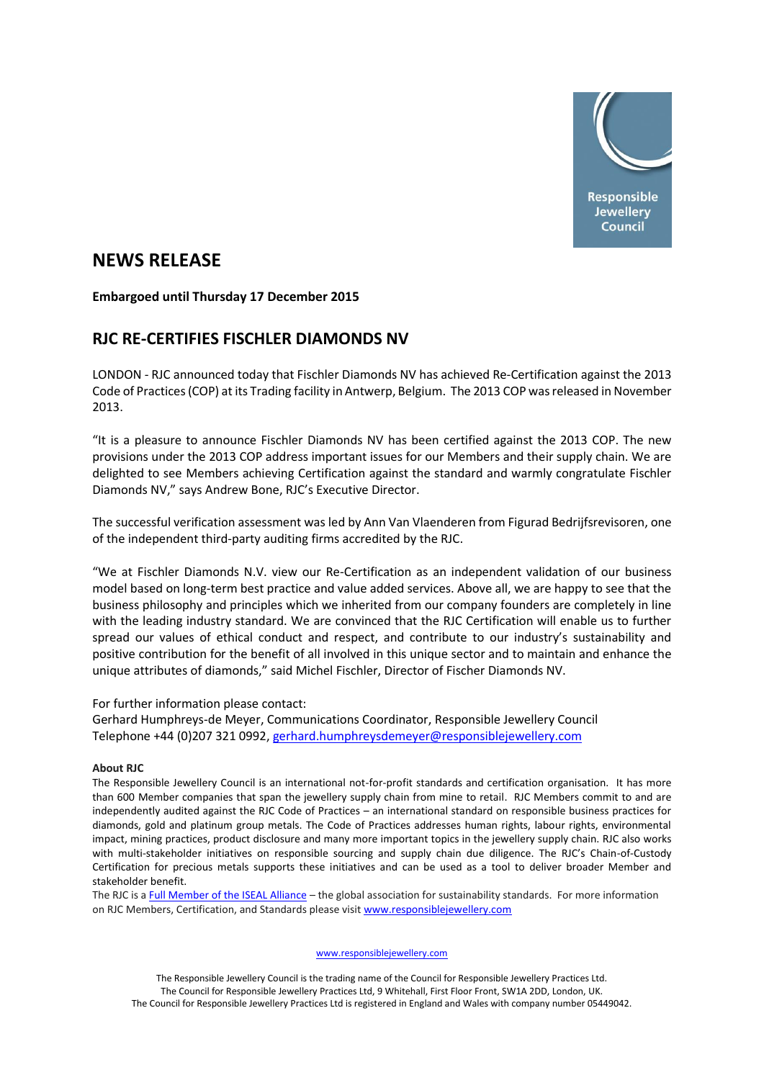

# **NEWS RELEASE**

## **Embargoed until Thursday 17 December 2015**

## **RJC RE-CERTIFIES FISCHLER DIAMONDS NV**

LONDON - RJC announced today that Fischler Diamonds NV has achieved Re-Certification against the 2013 Code of Practices (COP) at its Trading facility in Antwerp, Belgium. The 2013 COP was released in November 2013.

"It is a pleasure to announce Fischler Diamonds NV has been certified against the 2013 COP. The new provisions under the 2013 COP address important issues for our Members and their supply chain. We are delighted to see Members achieving Certification against the standard and warmly congratulate Fischler Diamonds NV," says Andrew Bone, RJC's Executive Director.

The successful verification assessment was led by Ann Van Vlaenderen from Figurad Bedrijfsrevisoren, one of the independent third-party auditing firms accredited by the RJC.

"We at Fischler Diamonds N.V. view our Re-Certification as an independent validation of our business model based on long-term best practice and value added services. Above all, we are happy to see that the business philosophy and principles which we inherited from our company founders are completely in line with the leading industry standard. We are convinced that the RJC Certification will enable us to further spread our values of ethical conduct and respect, and contribute to our industry's sustainability and positive contribution for the benefit of all involved in this unique sector and to maintain and enhance the unique attributes of diamonds," said Michel Fischler, Director of Fischer Diamonds NV.

### For further information please contact:

Gerhard Humphreys-de Meyer, Communications Coordinator, Responsible Jewellery Council Telephone +44 (0)207 321 0992, [gerhard.humphreysdemeyer@responsiblejewellery.com](mailto:gerhard.humphreysdemeyer@responsiblejewellery.com)

#### **About RJC**

The Responsible Jewellery Council is an international not-for-profit standards and certification organisation. It has more than 600 Member companies that span the jewellery supply chain from mine to retail. RJC Members commit to and are independently audited against the RJC Code of Practices – an international standard on responsible business practices for diamonds, gold and platinum group metals. The Code of Practices addresses human rights, labour rights, environmental impact, mining practices, product disclosure and many more important topics in the jewellery supply chain. RJC also works with multi-stakeholder initiatives on responsible sourcing and supply chain due diligence. The RJC's Chain-of-Custody Certification for precious metals supports these initiatives and can be used as a tool to deliver broader Member and stakeholder benefit.

The RJC is [a Full Member of the ISEAL Alliance](http://www.isealalliance.org/our-members/full-members) – the global association for sustainability standards. For more information on RJC Members, Certification, and Standards please visi[t www.responsiblejewellery.com](http://www.responsiblejewellery.com/)

#### [www.responsiblejewellery.com](http://www.responsiblejewellery.com/)

The Responsible Jewellery Council is the trading name of the Council for Responsible Jewellery Practices Ltd. The Council for Responsible Jewellery Practices Ltd, 9 Whitehall, First Floor Front, SW1A 2DD, London, UK. The Council for Responsible Jewellery Practices Ltd is registered in England and Wales with company number 05449042.